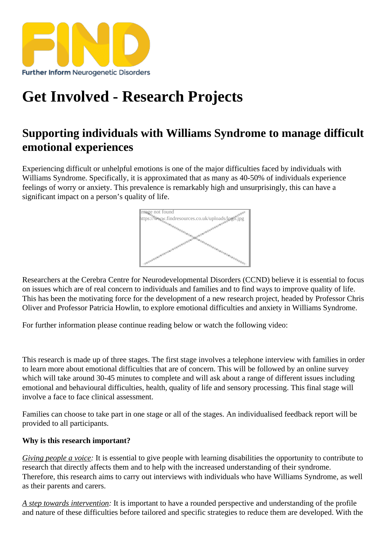## [Get Involved - Res](https://findresources.co.uk)earch Projects

## Supporting individuals with Williams Syndrome to manage difficult emotional experiences

Experiencing difficult or unhelpful emotions is one of the major difficulties faced by individuals with Williams Syndrome. Specifically, it is approximated that as many as 40-50% of individuals experience feelings of worry or anxiety. This prevalence is remarkably high and unsurprisingly, this can have a significant impact on a person's quality of life.

> Image not found https://www.findresources.co.uk/uploads/logo.jpg

Researchers at the Cerebra Centre for Neurodevelopmental Disorders (CCND) believe it is essential to focus on issues which are of real concern to individuals and families and to find ways to improve quality of life. This has been the motivating force for the development of a new research project, headed by Professor Chris Oliver and Professor Patricia Howlin, to explore emotional difficulties and anxiety in Williams Syndrome.

For further information please continue reading below or watch the following video:

This research is made up of three stages. The first stage involves a telephone interview with families in order to learn more about emotional difficulties that are of concern. This will be followed by an online survey which will take around 30-45 minutes to complete and will ask about a range of different issues including emotional and behavioural difficulties, health, quality of life and sensory processing. This final stage will involve a face to face clinical assessment.

Families can choose to take part in one stage or all of the stages. An individualised feedback report will be provided to all participants.

Why is this research important?

Giving people a voicet is essential to give people with learning disabilities the opportunity to contribute to research that directly affects them and to help with the increased understanding of their syndrome. Therefore, this research aims to carry out interviews with individuals who have Williams Syndrome, as well as their parents and carers.

A step towards interventiont is important to have a rounded perspective and understanding of the profile and nature of these difficulties before tailored and specific strategies to reduce them are developed. With the